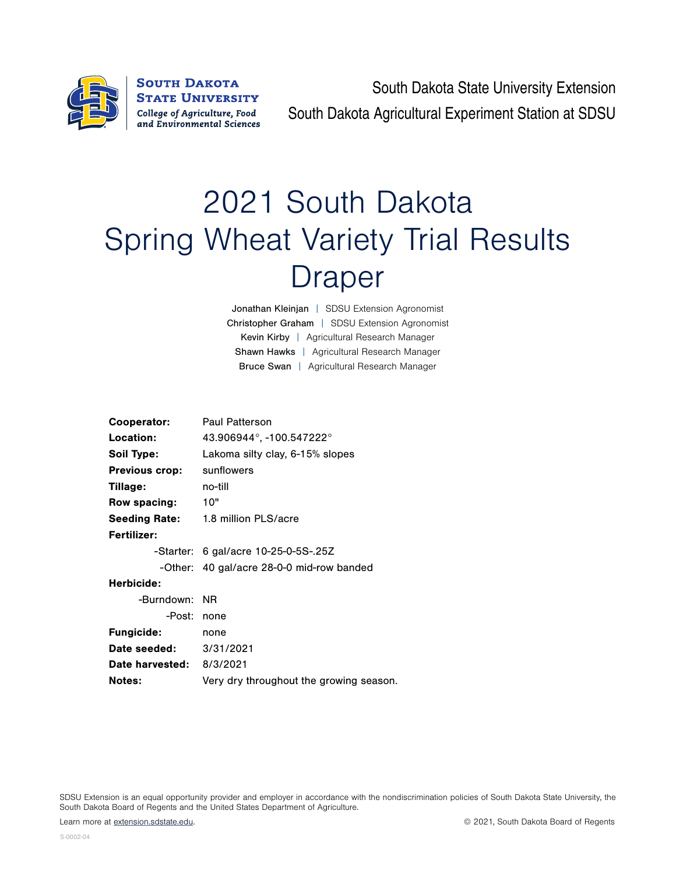

**SOUTH DAKOTA STATE UNIVERSITY** College of Agriculture, Food and Environmental Sciences

South Dakota State University Extension South Dakota Agricultural Experiment Station at SDSU

## 2021 South Dakota Spring Wheat Variety Trial Results Draper

Jonathan Kleinjan | SDSU Extension Agronomist Christopher Graham | SDSU Extension Agronomist Kevin Kirby | Agricultural Research Manager Shawn Hawks | Agricultural Research Manager Bruce Swan | Agricultural Research Manager

| Cooperator:                   | <b>Paul Patterson</b>                     |  |  |  |  |  |
|-------------------------------|-------------------------------------------|--|--|--|--|--|
| Location:                     | 43.906944°, -100.547222°                  |  |  |  |  |  |
| Soil Type:                    | Lakoma silty clay, 6-15% slopes           |  |  |  |  |  |
| <b>Previous crop:</b>         | sunflowers                                |  |  |  |  |  |
| Tillage:                      | no-till                                   |  |  |  |  |  |
| Row spacing:                  | 10"                                       |  |  |  |  |  |
|                               | <b>Seeding Rate:</b> 1.8 million PLS/acre |  |  |  |  |  |
| <b>Fertilizer:</b>            |                                           |  |  |  |  |  |
|                               | $-$ Starter: 6 gal/acre 10-25-0-5S-.25Z   |  |  |  |  |  |
|                               | -Other: 40 gal/acre 28-0-0 mid-row banded |  |  |  |  |  |
| Herbicide:                    |                                           |  |  |  |  |  |
| -Burndown:                    | - NR                                      |  |  |  |  |  |
| -Post:                        | none                                      |  |  |  |  |  |
| <b>Fungicide:</b>             | none                                      |  |  |  |  |  |
| <b>Date seeded:</b> 3/31/2021 |                                           |  |  |  |  |  |
| Date harvested: 8/3/2021      |                                           |  |  |  |  |  |
| <b>Notes:</b>                 | Very dry throughout the growing season.   |  |  |  |  |  |
|                               |                                           |  |  |  |  |  |

SDSU Extension is an equal opportunity provider and employer in accordance with the nondiscrimination policies of South Dakota State University, the South Dakota Board of Regents and the United States Department of Agriculture.